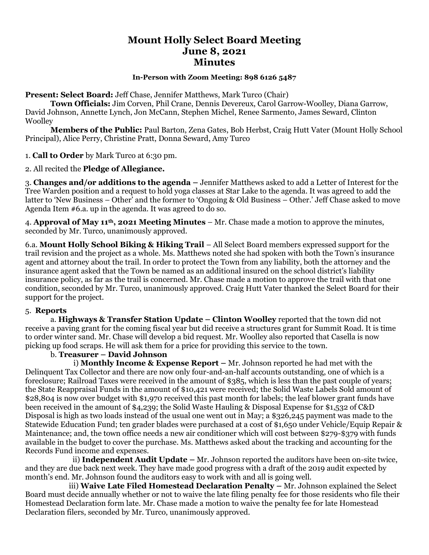# **Mount Holly Select Board Meeting June 8, 2021 Minutes**

### **In-Person with Zoom Meeting: 898 6126 5487**

**Present: Select Board:** Jeff Chase, Jennifer Matthews, Mark Turco (Chair)

**Town Officials:** Jim Corven, Phil Crane, Dennis Devereux, Carol Garrow-Woolley, Diana Garrow, David Johnson, Annette Lynch, Jon McCann, Stephen Michel, Renee Sarmento, James Seward, Clinton **Woolley** 

**Members of the Public:** Paul Barton, Zena Gates, Bob Herbst, Craig Hutt Vater (Mount Holly School Principal), Alice Perry, Christine Pratt, Donna Seward, Amy Turco

### 1. **Call to Order** by Mark Turco at 6:30 pm.

2. All recited the **Pledge of Allegiance.**

3. **Changes and/or additions to the agenda –** Jennifer Matthews asked to add a Letter of Interest for the Tree Warden position and a request to hold yoga classes at Star Lake to the agenda. It was agreed to add the latter to 'New Business – Other' and the former to 'Ongoing & Old Business – Other.' Jeff Chase asked to move Agenda Item #6.a. up in the agenda. It was agreed to do so.

4. **Approval of May 11th, 2021 Meeting Minutes** – Mr. Chase made a motion to approve the minutes, seconded by Mr. Turco, unanimously approved.

6.a. **Mount Holly School Biking & Hiking Trail** – All Select Board members expressed support for the trail revision and the project as a whole. Ms. Matthews noted she had spoken with both the Town's insurance agent and attorney about the trail. In order to protect the Town from any liability, both the attorney and the insurance agent asked that the Town be named as an additional insured on the school district's liability insurance policy, as far as the trail is concerned. Mr. Chase made a motion to approve the trail with that one condition, seconded by Mr. Turco, unanimously approved. Craig Hutt Vater thanked the Select Board for their support for the project.

### 5. **Reports**

a. **Highways & Transfer Station Update – Clinton Woolley** reported that the town did not receive a paving grant for the coming fiscal year but did receive a structures grant for Summit Road. It is time to order winter sand. Mr. Chase will develop a bid request. Mr. Woolley also reported that Casella is now picking up food scraps. He will ask them for a price for providing this service to the town.

### b. **Treasurer – David Johnson**

 i) **Monthly Income & Expense Report –** Mr. Johnson reported he had met with the Delinquent Tax Collector and there are now only four-and-an-half accounts outstanding, one of which is a foreclosure; Railroad Taxes were received in the amount of \$385, which is less than the past couple of years; the State Reappraisal Funds in the amount of \$10,421 were received; the Solid Waste Labels Sold amount of \$28,804 is now over budget with \$1,970 received this past month for labels; the leaf blower grant funds have been received in the amount of \$4,239; the Solid Waste Hauling & Disposal Expense for \$1,532 of C&D Disposal is high as two loads instead of the usual one went out in May; a \$326,245 payment was made to the Statewide Education Fund; ten grader blades were purchased at a cost of \$1,650 under Vehicle/Equip Repair & Maintenance; and, the town office needs a new air conditioner which will cost between \$279-\$379 with funds available in the budget to cover the purchase. Ms. Matthews asked about the tracking and accounting for the Records Fund income and expenses.

 ii) **Independent Audit Update –** Mr. Johnson reported the auditors have been on-site twice, and they are due back next week. They have made good progress with a draft of the 2019 audit expected by month's end. Mr. Johnson found the auditors easy to work with and all is going well.

 iii) **Waive Late Filed Homestead Declaration Penalty –** Mr. Johnson explained the Select Board must decide annually whether or not to waive the late filing penalty fee for those residents who file their Homestead Declaration form late. Mr. Chase made a motion to waive the penalty fee for late Homestead Declaration filers, seconded by Mr. Turco, unanimously approved.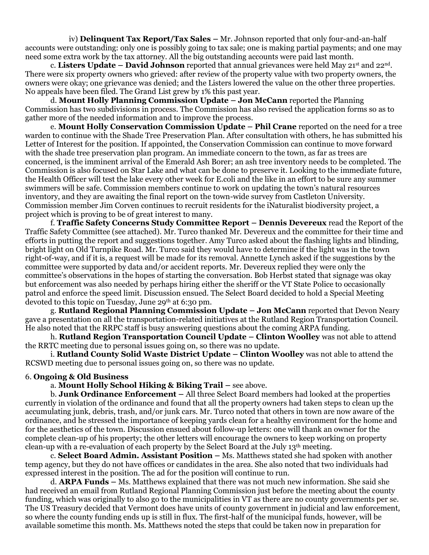iv) **Delinquent Tax Report/Tax Sales –** Mr. Johnson reported that only four-and-an-half accounts were outstanding: only one is possibly going to tax sale; one is making partial payments; and one may need some extra work by the tax attorney. All the big outstanding accounts were paid last month.

c. **Listers Update – David Johnson** reported that annual grievances were held May 21st and 22nd . There were six property owners who grieved: after review of the property value with two property owners, the owners were okay; one grievance was denied; and the Listers lowered the value on the other three properties. No appeals have been filed. The Grand List grew by 1% this past year.

d. **Mount Holly Planning Commission Update – Jon McCann** reported the Planning Commission has two subdivisions in process. The Commission has also revised the application forms so as to gather more of the needed information and to improve the process.

e. **Mount Holly Conservation Commission Update – Phil Crane** reported on the need for a tree warden to continue with the Shade Tree Preservation Plan. After consultation with others, he has submitted his Letter of Interest for the position. If appointed, the Conservation Commission can continue to move forward with the shade tree preservation plan program. An immediate concern to the town, as far as trees are concerned, is the imminent arrival of the Emerald Ash Borer; an ash tree inventory needs to be completed. The Commission is also focused on Star Lake and what can be done to preserve it. Looking to the immediate future, the Health Officer will test the lake every other week for E.coli and the like in an effort to be sure any summer swimmers will be safe. Commission members continue to work on updating the town's natural resources inventory, and they are awaiting the final report on the town-wide survey from Castleton University. Commission member Jim Corven continues to recruit residents for the iNaturalist biodiversity project, a project which is proving to be of great interest to many.

f. **Traffic Safety Concerns Study Committee Report – Dennis Devereux** read the Report of the Traffic Safety Committee (see attached). Mr. Turco thanked Mr. Devereux and the committee for their time and efforts in putting the report and suggestions together. Amy Turco asked about the flashing lights and blinding, bright light on Old Turnpike Road. Mr. Turco said they would have to determine if the light was in the town right-of-way, and if it is, a request will be made for its removal. Annette Lynch asked if the suggestions by the committee were supported by data and/or accident reports. Mr. Devereux replied they were only the committee's observations in the hopes of starting the conversation. Bob Herbst stated that signage was okay but enforcement was also needed by perhaps hiring either the sheriff or the VT State Police to occasionally patrol and enforce the speed limit. Discussion ensued. The Select Board decided to hold a Special Meeting devoted to this topic on Tuesday, June 29<sup>th</sup> at 6:30 pm.

g. **Rutland Regional Planning Commission Update – Jon McCann** reported that Devon Neary gave a presentation on all the transportation-related initiatives at the Rutland Region Transportation Council. He also noted that the RRPC staff is busy answering questions about the coming ARPA funding.

h. **Rutland Region Transportation Council Update – Clinton Woolley** was not able to attend the RRTC meeting due to personal issues going on, so there was no update.

i. **Rutland County Solid Waste District Update – Clinton Woolley** was not able to attend the RCSWD meeting due to personal issues going on, so there was no update.

#### 6. **Ongoing & Old Business**

a. **Mount Holly School Hiking & Biking Trail –** see above.

b. **Junk Ordinance Enforcement –** All three Select Board members had looked at the properties currently in violation of the ordinance and found that all the property owners had taken steps to clean up the accumulating junk, debris, trash, and/or junk cars. Mr. Turco noted that others in town are now aware of the ordinance, and he stressed the importance of keeping yards clean for a healthy environment for the home and for the aesthetics of the town. Discussion ensued about follow-up letters: one will thank an owner for the complete clean-up of his property; the other letters will encourage the owners to keep working on property clean-up with a re-evaluation of each property by the Select Board at the July 13th meeting.

c. **Select Board Admin. Assistant Position –** Ms. Matthews stated she had spoken with another temp agency, but they do not have offices or candidates in the area. She also noted that two individuals had expressed interest in the position. The ad for the position will continue to run.

d. **ARPA Funds –** Ms. Matthews explained that there was not much new information. She said she had received an email from Rutland Regional Planning Commission just before the meeting about the county funding, which was originally to also go to the municipalities in VT as there are no county governments per se. The US Treasury decided that Vermont does have units of county government in judicial and law enforcement, so where the county funding ends up is still in flux. The first-half of the municipal funds, however, will be available sometime this month. Ms. Matthews noted the steps that could be taken now in preparation for